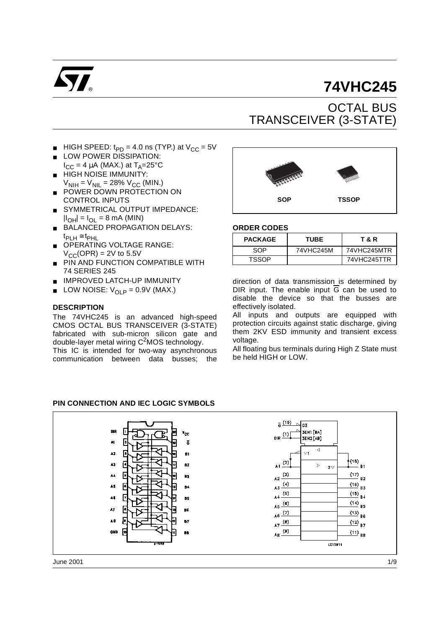

# **74VHC245**

## OCTAL BUS TRANSCEIVER (3-STATE)

- HIGH SPEED:  $t_{PD}$  = 4.0 ns (TYP.) at  $V_{CC}$  = 5V
- LOW POWER DISSIPATION:  $I_{CC}$  = 4  $\mu$ A (MAX.) at T<sub>A</sub>=25°C
- HIGH NOISE IMMUNITY:  $V_{\text{NIH}} = V_{\text{NIL}} = 28\% V_{\text{CC}}$  (MIN.)
- POWER DOWN PROTECTION ON CONTROL INPUTS
- SYMMETRICAL OUTPUT IMPEDANCE:  $|I_{OH}| = I_{OL} = 8$  mA (MIN)
- BALANCED PROPAGATION DELAYS:  $t_{\mathsf{PI H}}$  ≅  $t_{\mathsf{PHL}}$
- OPERATING VOLTAGE RANGE:  $V_{\text{CC}}$ (OPR) = 2V to 5.5V
- PIN AND FUNCTION COMPATIBLE WITH 74 SERIES 245
- IMPROVED LATCH-UP IMMUNITY
- **■** LOW NOISE:  $V_{OLP} = 0.9V$  (MAX.)

#### **DESCRIPTION**

The 74VHC245 is an advanced high-speed CMOS OCTAL BUS TRANSCEIVER (3-STATE) fabricated with sub-micron silicon gate and double-layer metal wiring C<sup>2</sup>MOS technology.

This IC is intended for two-way asynchronous communication between data busses; the



#### **ORDER CODES**

| <b>PACKAGE</b> | <b>TUBE</b> | T & R       |
|----------------|-------------|-------------|
| SOP            | 74VHC245M   | 74VHC245MTR |
| <b>TSSOP</b>   |             | 74VHC245TTR |

direction of data transmission is determined by DIR input. The enable input  $\overline{G}$  can be used to disable the device so that the busses are effectively isolated.

All inputs and outputs are equipped with protection circuits against static discharge, giving them 2KV ESD immunity and transient excess voltage.

All floating bus terminals during High Z State must be held HIGH or LOW.

#### **PIN CONNECTION AND IEC LOGIC SYMBOLS**



June 2001 1/9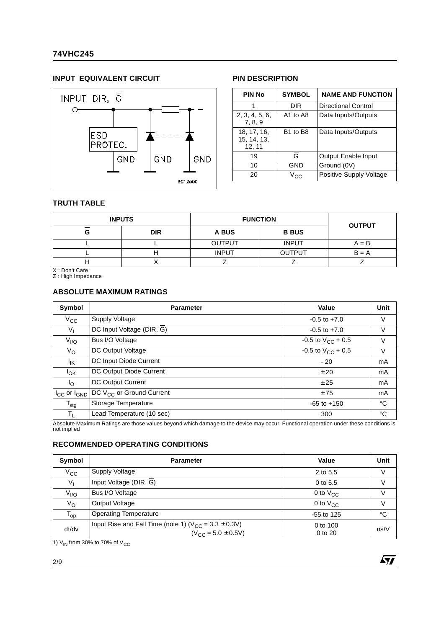### **74VHC245**

#### **INPUT EQUIVALENT CIRCUIT PIN DESCRIPTION**



| <b>PIN No</b>                        | <b>SYMBOL</b>                    | <b>NAME AND FUNCTION</b> |  |  |  |  |
|--------------------------------------|----------------------------------|--------------------------|--|--|--|--|
|                                      | DIR                              | Directional Control      |  |  |  |  |
| 2, 3, 4, 5, 6,<br>7, 8, 9            | A1 to A8                         | Data Inputs/Outputs      |  |  |  |  |
| 18, 17, 16,<br>15, 14, 13,<br>12, 11 | B <sub>1</sub> to B <sub>8</sub> | Data Inputs/Outputs      |  |  |  |  |
| 19                                   | G                                | Output Enable Input      |  |  |  |  |
| 10                                   | GND                              | Ground (0V)              |  |  |  |  |
| 20                                   | V <sub>CC</sub>                  | Positive Supply Voltage  |  |  |  |  |

#### **TRUTH TABLE**

|   | <b>INPUTS</b> | <b>FUNCTION</b> | <b>OUTPUT</b> |         |
|---|---------------|-----------------|---------------|---------|
| G | <b>DIR</b>    | A BUS           | <b>B BUS</b>  |         |
|   |               | <b>OUTPUT</b>   | <b>INPUT</b>  | $A = B$ |
|   |               | <b>INPUT</b>    | <b>OUTPUT</b> | $B = A$ |
| . |               |                 |               |         |

X : Don't Care Z : High Impedance

#### **ABSOLUTE MAXIMUM RATINGS**

| Symbol                | <b>Parameter</b>                     | Value                    | Unit           |
|-----------------------|--------------------------------------|--------------------------|----------------|
| $V_{\rm CC}$          | Supply Voltage                       | $-0.5$ to $+7.0$         | V              |
| $V_{\parallel}$       | DC Input Voltage (DIR, G)            | $-0.5$ to $+7.0$         | V              |
| $V_{I/O}$             | Bus I/O Voltage                      | $-0.5$ to $V_{CC}$ + 0.5 | V              |
| $V_{\rm O}$           | DC Output Voltage                    | -0.5 to $V_{CC}$ + 0.5   | V              |
| <sup>I</sup> IK       | DC Input Diode Current               | $-20$                    | mA             |
| <sup>I</sup> OK       | DC Output Diode Current              | ± 20                     | mA             |
| <sup>I</sup> O        | DC Output Current                    | ± 25                     | m <sub>A</sub> |
| $I_{CC}$ or $I_{GND}$ | DC V <sub>CC</sub> or Ground Current | ±75                      | mA             |
| $T_{\text{stg}}$      | Storage Temperature                  | $-65$ to $+150$          | °C             |
| TL                    | Lead Temperature (10 sec)            | 300                      | °C             |

Absolute Maximum Ratings are those values beyond which damage to the device may occur. Functional operation under these conditions is not implied

#### **RECOMMENDED OPERATING CONDITIONS**

| Symbol       | <b>Parameter</b>                                                                           | Value                   | <b>Unit</b> |
|--------------|--------------------------------------------------------------------------------------------|-------------------------|-------------|
| $V_{\rm CC}$ | Supply Voltage                                                                             | 2 to 5.5                | V           |
| $V_{I}$      | Input Voltage (DIR, G)                                                                     | $0$ to 5.5              | V           |
| $V_{I/O}$    | Bus I/O Voltage                                                                            | 0 to $V_{CC}$           | V           |
| $V_{\rm O}$  | Output Voltage                                                                             | 0 to $V_{CC}$           | V           |
| $T_{op}$     | <b>Operating Temperature</b>                                                               | $-55$ to 125            | °C          |
| dt/dv        | Input Rise and Fall Time (note 1) ( $V_{CC} = 3.3 \pm 0.3V$ )<br>$(V_{CC} = 5.0 \pm 0.5V)$ | 0 to 100<br>$0$ to $20$ | ns/V        |

1)  $V_{IN}$  from 30% to 70% of  $V_{CC}$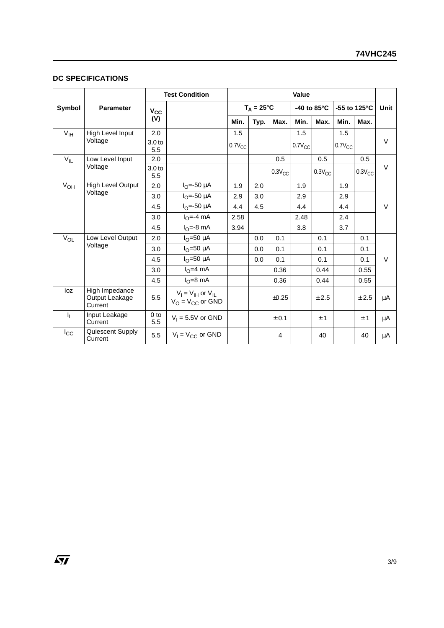#### **DC SPECIFICATIONS**

|                 |                                             | <b>Test Condition</b>    |                                                     | Value               |      |             |                       |             |              |             |        |
|-----------------|---------------------------------------------|--------------------------|-----------------------------------------------------|---------------------|------|-------------|-----------------------|-------------|--------------|-------------|--------|
| Symbol          | <b>Parameter</b>                            | $V_{\rm CC}$             |                                                     | $T_A = 25^{\circ}C$ |      |             | -40 to $85^{\circ}$ C |             | -55 to 125°C | Unit        |        |
|                 |                                             | (V)                      |                                                     | Min.                | Typ. | Max.        | Min.                  | Max.        | Min.         | Max.        |        |
| V <sub>IH</sub> | High Level Input                            | 2.0                      |                                                     | 1.5                 |      |             | 1.5                   |             | 1.5          |             |        |
|                 | Voltage                                     | 3.0 <sub>to</sub><br>5.5 |                                                     | $0.7V_{CC}$         |      |             | $0.7V_{CC}$           |             | $0.7V_{CC}$  |             | $\vee$ |
| $V_{IL}$        | Low Level Input                             | 2.0                      |                                                     |                     |      | 0.5         |                       | 0.5         |              | 0.5         |        |
|                 | Voltage                                     | 3.0 <sub>to</sub><br>5.5 |                                                     |                     |      | $0.3V_{CC}$ |                       | $0.3V_{CC}$ |              | $0.3V_{CC}$ | $\vee$ |
| $V_{OH}$        | High Level Output                           | 2.0                      | $I_{O} = -50 \mu A$                                 | 1.9                 | 2.0  |             | 1.9                   |             | 1.9          |             |        |
|                 | Voltage                                     | 3.0                      | $I_{\Omega} = -50 \mu A$                            | 2.9                 | 3.0  |             | 2.9                   |             | 2.9          |             |        |
|                 |                                             | 4.5                      | $I_{\Omega} = -50 \mu A$                            | 4.4                 | 4.5  |             | 4.4                   |             | 4.4          |             | $\vee$ |
|                 |                                             | 3.0                      | $IO=-4 mA$                                          | 2.58                |      |             | 2.48                  |             | 2.4          |             |        |
|                 |                                             | 4.5                      | $IO=-8 mA$                                          | 3.94                |      |             | 3.8                   |             | 3.7          |             |        |
| $V_{OL}$        | Low Level Output                            | 2.0                      | $IO=50 \mu A$                                       |                     | 0.0  | 0.1         |                       | 0.1         |              | 0.1         |        |
|                 | Voltage                                     | 3.0                      | $I_{\Omega}$ =50 µA                                 |                     | 0.0  | 0.1         |                       | 0.1         |              | 0.1         |        |
|                 |                                             | 4.5                      | $IO=50 \mu A$                                       |                     | 0.0  | 0.1         |                       | 0.1         |              | 0.1         | $\vee$ |
|                 |                                             | 3.0                      | $I0=4 mA$                                           |                     |      | 0.36        |                       | 0.44        |              | 0.55        |        |
|                 |                                             | 4.5                      | $I_{\Omega} = 8 \text{ mA}$                         |                     |      | 0.36        |                       | 0.44        |              | 0.55        |        |
| loz             | High Impedance<br>Output Leakage<br>Current | 5.5                      | $V_I = V_{IH}$ or $V_{IL}$<br>$V_O = V_{CC}$ or GND |                     |      | $\pm 0.25$  |                       | ± 2.5       |              | ± 2.5       | μA     |
| h,              | Input Leakage<br>Current                    | 0 <sub>to</sub><br>5.5   | $V_1 = 5.5V$ or GND                                 |                     |      | ± 0.1       |                       | ±1          |              | ±1          | μA     |
| $I_{\rm CC}$    | Quiescent Supply<br>Current                 | 5.5                      | $V_1 = V_{CC}$ or GND                               |                     |      | 4           |                       | 40          |              | 40          | μA     |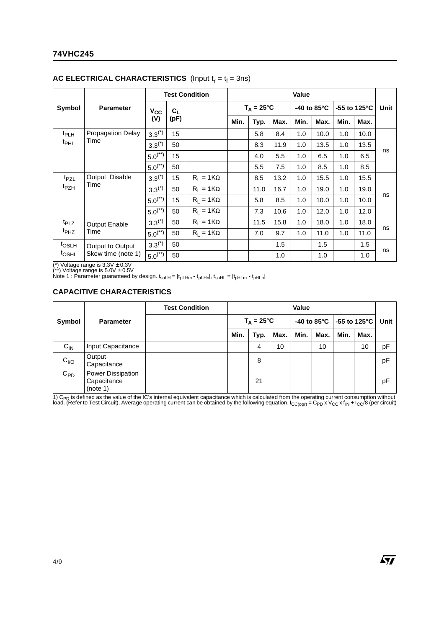### **74VHC245**

|                                       |                          | <b>Test Condition</b> |                  |                  | Value |      |                     |      |                       |                         |      |      |
|---------------------------------------|--------------------------|-----------------------|------------------|------------------|-------|------|---------------------|------|-----------------------|-------------------------|------|------|
| Symbol                                | <b>Parameter</b>         | $V_{CC}$              | $C_L$            |                  |       |      | $T_A = 25^{\circ}C$ |      | -40 to 85 $\degree$ C | -55 to 125 $^{\circ}$ C |      | Unit |
|                                       |                          | (V)                   | (pF)             |                  | Min.  | Typ. | Max.                | Min. | Max.                  | Min.                    | Max. |      |
| t <sub>PLH</sub>                      | <b>Propagation Delay</b> | $3.3^{(*)}$           | 15               |                  |       | 5.8  | 8.4                 | 1.0  | 10.0                  | 1.0                     | 10.0 |      |
| t <sub>PHL</sub>                      | Time                     | $3.3^{(*)}$           | 50               |                  |       | 8.3  | 11.9                | 1.0  | 13.5                  | 1.0                     | 13.5 | ns   |
|                                       | $5.0^{(*)}$              | 15                    |                  |                  | 4.0   | 5.5  | 1.0                 | 6.5  | 1.0                   | 6.5                     |      |      |
|                                       |                          | $5.0^{(*)}$           | 50               |                  |       | 5.5  | 7.5                 | 1.0  | 8.5                   | 1.0                     | 8.5  |      |
| t <sub>PZL</sub>                      | Output Disable           | $3.3^{(*)}$           | 15               | $R_1 = 1K\Omega$ |       | 8.5  | 13.2                | 1.0  | 15.5                  | 1.0                     | 15.5 |      |
| t <sub>PZH</sub>                      | Time                     | $3.3^{(*)}$           | 50               | $R_1 = 1K\Omega$ |       | 11.0 | 16.7                | 1.0  | 19.0                  | 1.0                     | 19.0 |      |
|                                       |                          | $5.0^{(**)}$          | 15               | $R_1 = 1K\Omega$ |       | 5.8  | 8.5                 | 1.0  | 10.0                  | 1.0                     | 10.0 | ns   |
|                                       |                          | $5.0^{(*)}$           | 50               | $R_1 = 1K\Omega$ |       | 7.3  | 10.6                | 1.0  | 12.0                  | 1.0                     | 12.0 |      |
| t <sub>PLZ</sub>                      | <b>Output Enable</b>     | $3.3^{(*)}$           | 50               | $R_1 = 1K\Omega$ |       | 11.5 | 15.8                | 1.0  | 18.0                  | 1.0                     | 18.0 |      |
| t <sub>PHZ</sub><br>Time              | $5.0^{(*)}$              | 50                    | $R_1 = 1K\Omega$ |                  | 7.0   | 9.7  | 1.0                 | 11.0 | 1.0                   | 11.0                    | ns   |      |
| t <sub>OSLH</sub><br>Output to Output | $3.3^{(*)}$              | 50                    |                  |                  |       | 1.5  |                     | 1.5  |                       | 1.5                     |      |      |
| t <sub>OSHL</sub>                     | Skew time (note 1)       | $5.0^{(**)}$          | 50               |                  |       |      | 1.0                 |      | 1.0                   |                         | 1.0  | ns   |

#### **AC ELECTRICAL CHARACTERISTICS** (Input  $t_r = t_f = 3$ ns)

(\*) Voltage range is 3.3V ± 0.3V<br>(\*\*) Voltage range is 5.0V ± 0.5V<br>Note 1 : Parameter guaranteed by design. t<sub>soLH</sub> = |t<sub>pLHm</sub> - t<sub>pLHn</sub>|, t<sub>soHL</sub> = |t<sub>pHLm</sub> - t<sub>pHLn</sub>|

#### **CAPACITIVE CHARACTERISTICS**

|                  |                                              | <b>Test Condition</b> |      | Value               |      |      |      |      |                                                  |    |
|------------------|----------------------------------------------|-----------------------|------|---------------------|------|------|------|------|--------------------------------------------------|----|
| Symbol           | <b>Parameter</b>                             |                       |      | $T_A = 25^{\circ}C$ |      |      |      |      | -40 to 85 $^{\circ}$ C   -55 to 125 $^{\circ}$ C |    |
|                  |                                              |                       | Min. | Typ.                | Max. | Min. | Max. | Min. | Max.                                             |    |
| $C_{IN}$         | Input Capacitance                            |                       |      | 4                   | 10   |      | 10   |      | 10                                               | рF |
| C <sub>I/O</sub> | Output<br>Capacitance                        |                       |      | 8                   |      |      |      |      |                                                  | pF |
| $C_{PD}$         | Power Dissipation<br>Capacitance<br>(note 1) |                       |      | 21                  |      |      |      |      |                                                  | pF |

1) C<sub>PD</sub> is defined as the value of the IC's internal equivalent capacitance which is calculated from the operating current consumption without<br>load. (Refer to Test Circuit). Average operating current can be obtained by th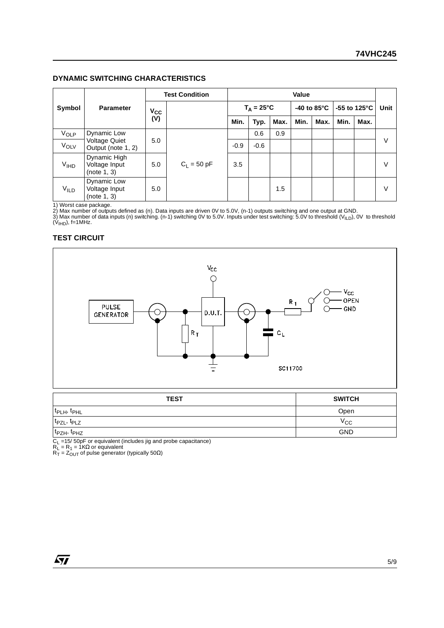#### **DYNAMIC SWITCHING CHARACTERISTICS**

|                  |                                              | <b>Test Condition</b> |               | Value  |                     |      |      |                       |                        |      |        |
|------------------|----------------------------------------------|-----------------------|---------------|--------|---------------------|------|------|-----------------------|------------------------|------|--------|
| Symbol           | <b>Parameter</b>                             | $V_{\rm CC}$          |               |        | $T_A = 25^{\circ}C$ |      |      | -40 to $85^{\circ}$ C | -55 to 125 $\degree$ C |      | Unit   |
|                  |                                              | (V)                   |               | Min.   | Typ.                | Max. | Min. | Max.                  | Min.                   | Max. |        |
| VOLP             | Dynamic Low                                  | 5.0                   |               |        | 0.6                 | 0.9  |      |                       |                        |      |        |
| $V_{OLV}$        | <b>Voltage Quiet</b><br>Output (note 1, 2)   |                       |               | $-0.9$ | $-0.6$              |      |      |                       |                        |      | $\vee$ |
| V <sub>IHD</sub> | Dynamic High<br>Voltage Input<br>(note 1, 3) | 5.0                   | $C_1 = 50 pF$ | 3.5    |                     |      |      |                       |                        |      | $\vee$ |
| <b>VILD</b>      | Dynamic Low<br>Voltage Input<br>(note 1, 3)  | 5.0                   |               |        |                     | 1.5  |      |                       |                        |      | $\vee$ |

1) Worst case package.<br>2) Max number of outputs defined as (n). Data inputs are driven 0V to 5.0V, (n-1) outputs switching and one output at GND.<br>3) Max number of data inputs (n) switching. (n-1) switching 0V to 5.0V. Inp

#### **TEST CIRCUIT**



| <b>TEST</b>                         | <b>SWITCH</b> |
|-------------------------------------|---------------|
| t <sub>PLH</sub> , t <sub>PHL</sub> | Open          |
| t <sub>PZL</sub> , t <sub>PLZ</sub> | $v_{\rm CC}$  |
| t <sub>PZH</sub> , t <sub>PHZ</sub> | <b>GND</b>    |

C<sub>L</sub> =15/ 50pF or equivalent (includes jig and probe capacitance)<br>R<sub>L</sub> = R<sub>1</sub> = 1KΩ or equivalent<br>R<sub>T</sub> = Z<sub>OUT</sub> of pulse generator (typically 50Ω)

 $\sqrt{27}$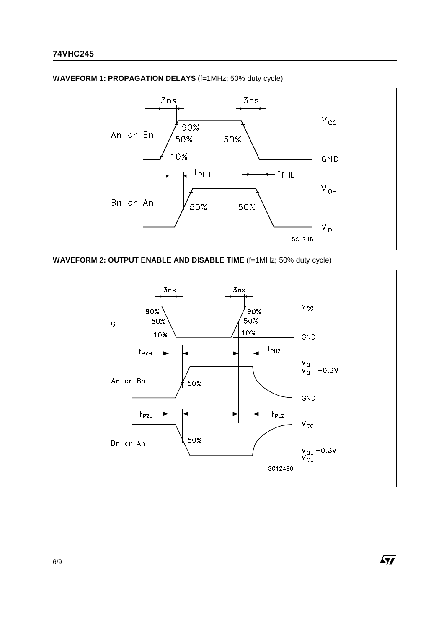

**WAVEFORM 1: PROPAGATION DELAYS** (f=1MHz; 50% duty cycle)





 $\sqrt{M}$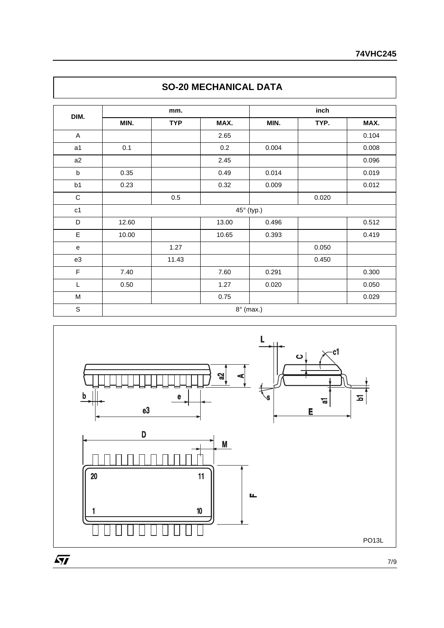| DIM.         |       | mm.        |       | inch       |       |       |  |  |
|--------------|-------|------------|-------|------------|-------|-------|--|--|
|              | MIN.  | <b>TYP</b> | MAX.  | MIN.       | TYP.  | MAX.  |  |  |
| $\mathsf{A}$ |       |            | 2.65  |            |       | 0.104 |  |  |
| a1           | 0.1   |            | 0.2   | 0.004      |       | 0.008 |  |  |
| a2           |       |            | 2.45  |            |       | 0.096 |  |  |
| b            | 0.35  |            | 0.49  | 0.014      |       | 0.019 |  |  |
| b1           | 0.23  |            | 0.32  | 0.009      |       | 0.012 |  |  |
| $\mathbf C$  |       | $0.5\,$    |       |            | 0.020 |       |  |  |
| c1           |       |            |       | 45° (typ.) |       |       |  |  |
| D            | 12.60 |            | 13.00 | 0.496      |       | 0.512 |  |  |
| Ε            | 10.00 |            | 10.65 | 0.393      |       | 0.419 |  |  |
| e            |       | 1.27       |       |            | 0.050 |       |  |  |
| e3           |       | 11.43      |       |            | 0.450 |       |  |  |
| F            | 7.40  |            | 7.60  | 0.291      |       | 0.300 |  |  |
| L            | 0.50  |            | 1.27  | 0.020      |       | 0.050 |  |  |
| M            |       |            | 0.75  |            |       | 0.029 |  |  |





7/9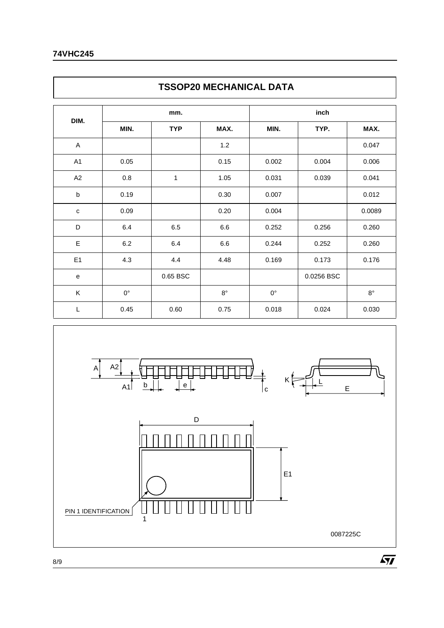Г

|             | <b>TSSOP20 MECHANICAL DATA</b> |            |           |             |            |             |  |  |  |  |  |
|-------------|--------------------------------|------------|-----------|-------------|------------|-------------|--|--|--|--|--|
| DIM.        |                                | mm.        |           | inch        |            |             |  |  |  |  |  |
|             | MIN.                           | <b>TYP</b> | MAX.      | MIN.        | TYP.       | MAX.        |  |  |  |  |  |
| A           |                                |            | 1.2       |             |            | 0.047       |  |  |  |  |  |
| A1          | 0.05                           |            | 0.15      | 0.002       | 0.004      | 0.006       |  |  |  |  |  |
| A2          | 0.8                            | 1          | 1.05      | 0.031       | 0.039      | 0.041       |  |  |  |  |  |
| b           | 0.19                           |            | 0.30      | 0.007       |            | 0.012       |  |  |  |  |  |
| $\mathbf C$ | 0.09                           |            | 0.20      | 0.004       |            | 0.0089      |  |  |  |  |  |
| D           | 6.4                            | 6.5        | 6.6       | 0.252       | 0.256      | 0.260       |  |  |  |  |  |
| Ε           | 6.2                            | 6.4        | 6.6       | 0.244       | 0.252      | 0.260       |  |  |  |  |  |
| E1          | 4.3                            | 4.4        | 4.48      | 0.169       | 0.173      | 0.176       |  |  |  |  |  |
| e           |                                | 0.65 BSC   |           |             | 0.0256 BSC |             |  |  |  |  |  |
| K           | $0^{\circ}$                    |            | $8^\circ$ | $0^{\circ}$ |            | $8^{\circ}$ |  |  |  |  |  |
| L           | 0.45                           | 0.60       | 0.75      | 0.018       | 0.024      | 0.030       |  |  |  |  |  |



٦